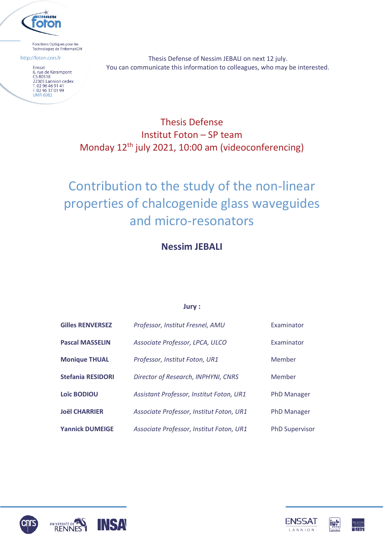

Fonctions Optiques pour les Technologies de l'informatiON

http://foton.cnrs.fr

Enssat 6, rue de Kerampont<br>CS 80518 CS 80518<br>22305 Lannion cedex<br>T. 02 96 46 91 41<br>F. 02 96 37 01 99<br>LIMP 6082 **UMR 6082** 

Thesis Defense of Nessim JEBALI on next 12 july. You can communicate this information to colleagues, who may be interested.

## Thesis Defense Institut Foton – SP team Monday 12th july 2021, 10:00 am (videoconferencing)

# Contribution to the study of the non-linear properties of chalcogenide glass waveguides and micro-resonators

### **Nessim JEBALI**

#### **Jury :**

| <b>Gilles RENVERSEZ</b>  | Professor, Institut Fresnel, AMU         | Examinator            |
|--------------------------|------------------------------------------|-----------------------|
| <b>Pascal MASSELIN</b>   | Associate Professor, LPCA, ULCO          | Examinator            |
| <b>Monique THUAL</b>     | Professor, Institut Foton, UR1           | Member                |
| <b>Stefania RESIDORI</b> | Director of Research, INPHYNI, CNRS      | Member                |
| <b>Loïc BODIOU</b>       | Assistant Professor, Institut Foton, UR1 | <b>PhD Manager</b>    |
| <b>Joël CHARRIER</b>     | Associate Professor, Institut Foton, UR1 | <b>PhD Manager</b>    |
| <b>Yannick DUMEIGE</b>   | Associate Professor, Institut Foton, UR1 | <b>PhD Supervisor</b> |